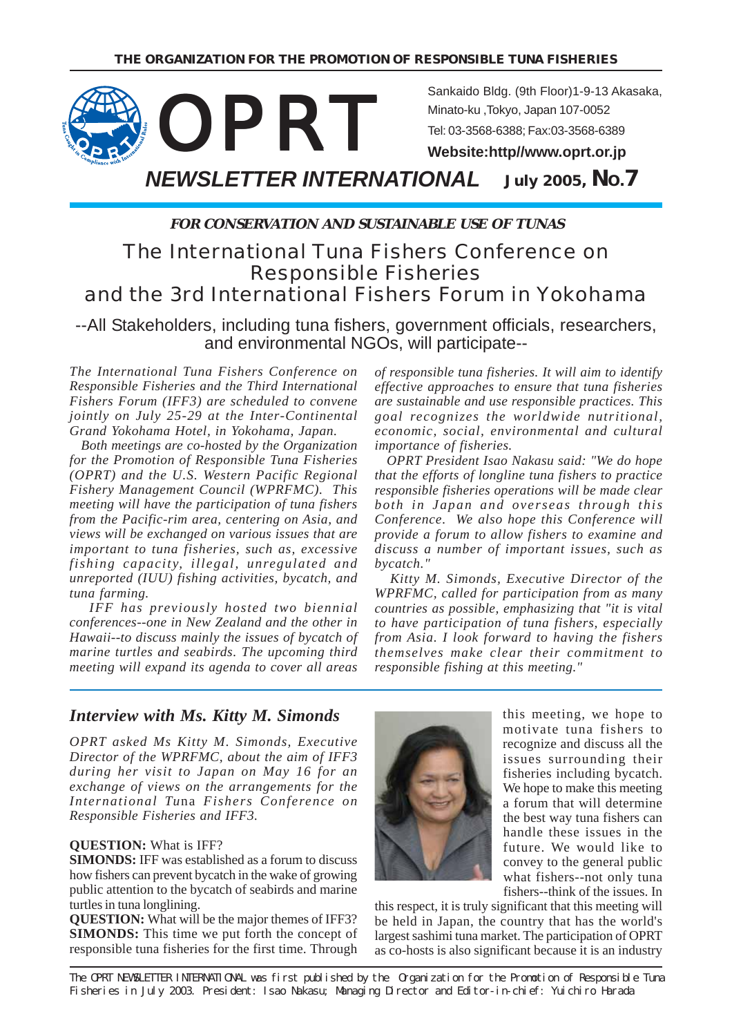

**FOR CONSERVATION AND SUSTAINABLE USE OF TUNAS**

## The International Tuna Fishers Conference on Responsible Fisheries and the 3rd International Fishers Forum in Yokohama

--All Stakeholders, including tuna fishers, government officials, researchers, and environmental NGOs, will participate--

*The International Tuna Fishers Conference on Responsible Fisheries and the Third International Fishers Forum (IFF3) are scheduled to convene jointly on July 25-29 at the Inter-Continental Grand Yokohama Hotel, in Yokohama, Japan.*

 *Both meetings are co-hosted by the Organization for the Promotion of Responsible Tuna Fisheries (OPRT) and the U.S. Western Pacific Regional Fishery Management Council (WPRFMC). This meeting will have the participation of tuna fishers from the Pacific-rim area, centering on Asia, and views will be exchanged on various issues that are important to tuna fisheries, such as, excessive fishing capacity, illegal, unregulated and unreported (IUU) fishing activities, bycatch, and tuna farming.*

 *IFF has previously hosted two biennial conferences--one in New Zealand and the other in Hawaii--to discuss mainly the issues of bycatch of marine turtles and seabirds. The upcoming third meeting will expand its agenda to cover all areas* *of responsible tuna fisheries. It will aim to identify effective approaches to ensure that tuna fisheries are sustainable and use responsible practices. This goal recognizes the worldwide nutritional, economic, social, environmental and cultural importance of fisheries.*

 *OPRT President Isao Nakasu said: "We do hope that the efforts of longline tuna fishers to practice responsible fisheries operations will be made clear both in Japan and overseas through this Conference. We also hope this Conference will provide a forum to allow fishers to examine and discuss a number of important issues, such as bycatch."*

 *Kitty M. Simonds, Executive Director of the WPRFMC, called for participation from as many countries as possible, emphasizing that "it is vital to have participation of tuna fishers, especially from Asia. I look forward to having the fishers themselves make clear their commitment to responsible fishing at this meeting."*

#### *Interview with Ms. Kitty M. Simonds*

*OPRT asked Ms Kitty M. Simonds, Executive Director of the WPRFMC, about the aim of IFF3 during her visit to Japan on May 16 for an exchange of views on the arrangements for the International Tu*na *Fishers Conference on Responsible Fisheries and IFF3.*

#### **QUESTION:** What is IFF?

**SIMONDS:** IFF was established as a forum to discuss how fishers can prevent bycatch in the wake of growing public attention to the bycatch of seabirds and marine turtles in tuna longlining.

**QUESTION:** What will be the major themes of IFF3? **SIMONDS:** This time we put forth the concept of responsible tuna fisheries for the first time. Through



this meeting, we hope to motivate tuna fishers to recognize and discuss all the issues surrounding their fisheries including bycatch. We hope to make this meeting a forum that will determine the best way tuna fishers can handle these issues in the future. We would like to convey to the general public what fishers--not only tuna fishers--think of the issues. In

this respect, it is truly significant that this meeting will be held in Japan, the country that has the world's largest sashimi tuna market. The participation of OPRT as co-hosts is also significant because it is an industry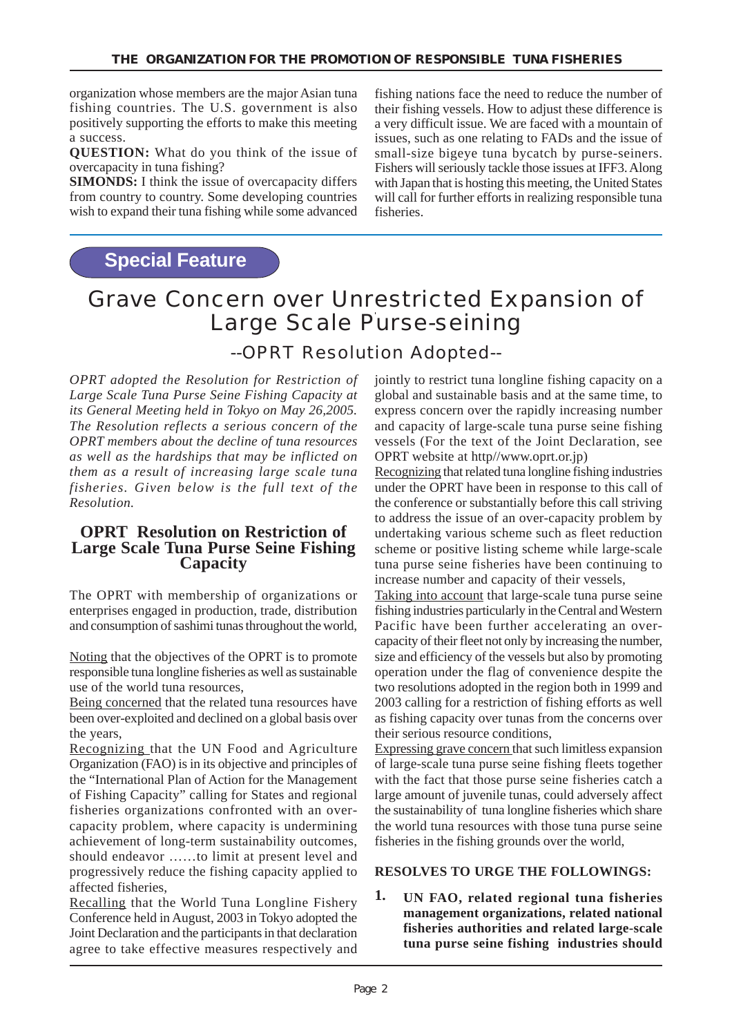organization whose members are the major Asian tuna fishing countries. The U.S. government is also positively supporting the efforts to make this meeting a success.

**QUESTION:** What do you think of the issue of overcapacity in tuna fishing?

**SIMONDS:** I think the issue of overcapacity differs from country to country. Some developing countries wish to expand their tuna fishing while some advanced

fishing nations face the need to reduce the number of their fishing vessels. How to adjust these difference is a very difficult issue. We are faced with a mountain of issues, such as one relating to FADs and the issue of small-size bigeye tuna bycatch by purse-seiners. Fishers will seriously tackle those issues at IFF3. Along with Japan that is hosting this meeting, the United States will call for further efforts in realizing responsible tuna fisheries.

## **Special Feature**

# Grave Concern over Unrestricted Expansion of Large Scale Purse-seining

## --OPRT Resolution Adopted--

*OPRT adopted the Resolution for Restriction of Large Scale Tuna Purse Seine Fishing Capacity at its General Meeting held in Tokyo on May 26,2005. The Resolution reflects a serious concern of the OPRT members about the decline of tuna resources as well as the hardships that may be inflicted on them as a result of increasing large scale tuna fisheries. Given below is the full text of the Resolution.*

## **OPRT Resolution on Restriction of Large Scale Tuna Purse Seine Fishing Capacity**

The OPRT with membership of organizations or enterprises engaged in production, trade, distribution and consumption of sashimi tunas throughout the world,

Noting that the objectives of the OPRT is to promote responsible tuna longline fisheries as well as sustainable use of the world tuna resources,

Being concerned that the related tuna resources have been over-exploited and declined on a global basis over the years,

Recognizing that the UN Food and Agriculture Organization (FAO) is in its objective and principles of the "International Plan of Action for the Management of Fishing Capacity" calling for States and regional fisheries organizations confronted with an overcapacity problem, where capacity is undermining achievement of long-term sustainability outcomes, should endeavor ……to limit at present level and progressively reduce the fishing capacity applied to affected fisheries,

Recalling that the World Tuna Longline Fishery Conference held in August, 2003 in Tokyo adopted the Joint Declaration and the participants in that declaration agree to take effective measures respectively and jointly to restrict tuna longline fishing capacity on a global and sustainable basis and at the same time, to express concern over the rapidly increasing number and capacity of large-scale tuna purse seine fishing vessels (For the text of the Joint Declaration, see OPRT website at http//www.oprt.or.jp)

Recognizing that related tuna longline fishing industries under the OPRT have been in response to this call of the conference or substantially before this call striving to address the issue of an over-capacity problem by undertaking various scheme such as fleet reduction scheme or positive listing scheme while large-scale tuna purse seine fisheries have been continuing to increase number and capacity of their vessels,

Taking into account that large-scale tuna purse seine fishing industries particularly in the Central and Western Pacific have been further accelerating an overcapacity of their fleet not only by increasing the number, size and efficiency of the vessels but also by promoting operation under the flag of convenience despite the two resolutions adopted in the region both in 1999 and 2003 calling for a restriction of fishing efforts as well as fishing capacity over tunas from the concerns over their serious resource conditions,

Expressing grave concern that such limitless expansion of large-scale tuna purse seine fishing fleets together with the fact that those purse seine fisheries catch a large amount of juvenile tunas, could adversely affect the sustainability of tuna longline fisheries which share the world tuna resources with those tuna purse seine fisheries in the fishing grounds over the world,

#### **RESOLVES TO URGE THE FOLLOWINGS:**

**UN FAO, related regional tuna fisheries management organizations, related national fisheries authorities and related large-scale tuna purse seine fishing industries should 1.**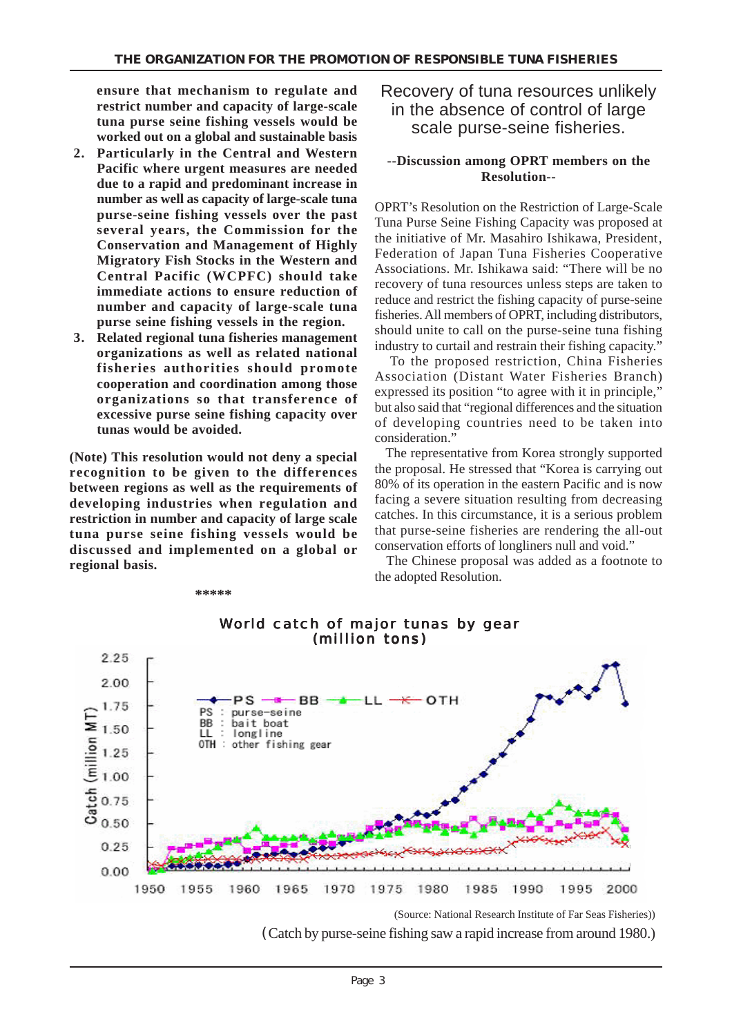**ensure that mechanism to regulate and restrict number and capacity of large-scale tuna purse seine fishing vessels would be worked out on a global and sustainable basis**

- **2. Particularly in the Central and Western Pacific where urgent measures are needed due to a rapid and predominant increase in number as well as capacity of large-scale tuna purse-seine fishing vessels over the past several years, the Commission for the Conservation and Management of Highly Migratory Fish Stocks in the Western and Central Pacific (WCPFC) should take immediate actions to ensure reduction of number and capacity of large-scale tuna purse seine fishing vessels in the region.**
- **3. Related regional tuna fisheries management organizations as well as related national fisheries authorities should promote cooperation and coordination among those organizations so that transference of excessive purse seine fishing capacity over tunas would be avoided.**

**(Note) This resolution would not deny a special recognition to be given to the differences between regions as well as the requirements of developing industries when regulation and restriction in number and capacity of large scale tuna purse seine fishing vessels would be discussed and implemented on a global or regional basis.**

**\*\*\*\*\***

## Recovery of tuna resources unlikely in the absence of control of large scale purse-seine fisheries.

#### **--Discussion among OPRT members on the Resolution--**

OPRT's Resolution on the Restriction of Large-Scale Tuna Purse Seine Fishing Capacity was proposed at the initiative of Mr. Masahiro Ishikawa, President, Federation of Japan Tuna Fisheries Cooperative Associations. Mr. Ishikawa said: "There will be no recovery of tuna resources unless steps are taken to reduce and restrict the fishing capacity of purse-seine fisheries. All members of OPRT, including distributors, should unite to call on the purse-seine tuna fishing industry to curtail and restrain their fishing capacity."

 To the proposed restriction, China Fisheries Association (Distant Water Fisheries Branch) expressed its position "to agree with it in principle," but also said that "regional differences and the situation of developing countries need to be taken into consideration."

 The representative from Korea strongly supported the proposal. He stressed that "Korea is carrying out 80% of its operation in the eastern Pacific and is now facing a severe situation resulting from decreasing catches. In this circumstance, it is a serious problem that purse-seine fisheries are rendering the all-out conservation efforts of longliners null and void."

 The Chinese proposal was added as a footnote to the adopted Resolution.



# World catch of major tunas by gear

(Catch by purse-seine fishing saw a rapid increase from around 1980.)

<sup>(</sup>Source: National Research Institute of Far Seas Fisheries))